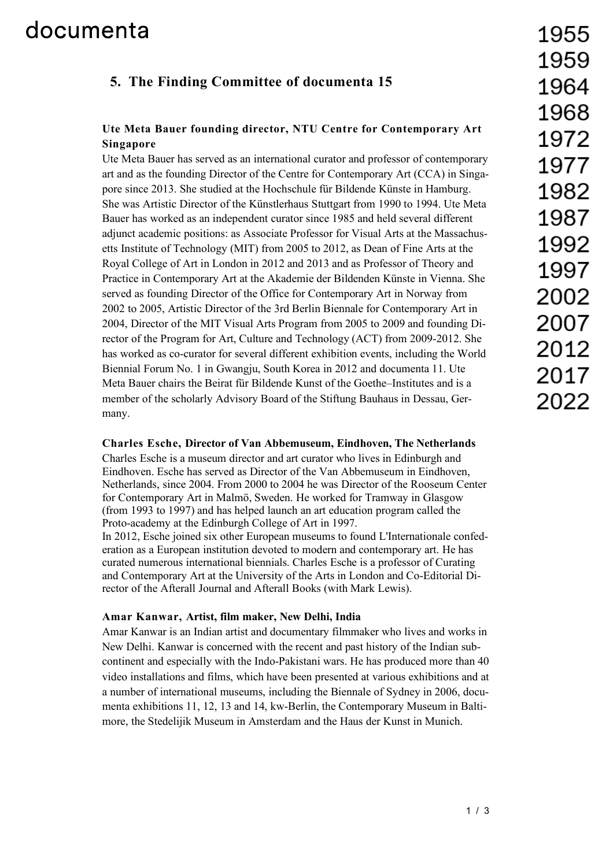## documenta

### **5. The Finding Committee of documenta 15**

### **Ute Meta Bauer founding director, NTU Centre for Contemporary Art Singapore**

Ute Meta Bauer has served as an international curator and professor of contemporary art and as the founding Director of the Centre for Contemporary Art (CCA) in Singapore since 2013. She studied at the Hochschule für Bildende Künste in Hamburg. She was Artistic Director of the Künstlerhaus Stuttgart from 1990 to 1994. Ute Meta Bauer has worked as an independent curator since 1985 and held several different adjunct academic positions: as Associate Professor for Visual Arts at the Massachusetts Institute of Technology (MIT) from 2005 to 2012, as Dean of Fine Arts at the Royal College of Art in London in 2012 and 2013 and as Professor of Theory and Practice in Contemporary Art at the Akademie der Bildenden Künste in Vienna. She served as founding Director of the Office for Contemporary Art in Norway from 2002 to 2005, Artistic Director of the 3rd Berlin Biennale for Contemporary Art in 2004, Director of the MIT Visual Arts Program from 2005 to 2009 and founding Director of the Program for Art, Culture and Technology (ACT) from 2009-2012. She has worked as co-curator for several different exhibition events, including the World Biennial Forum No. 1 in Gwangju, South Korea in 2012 and documenta 11. Ute Meta Bauer chairs the Beirat für Bildende Kunst of the Goethe–Institutes and is a member of the scholarly Advisory Board of the Stiftung Bauhaus in Dessau, Germany.

#### **Charles Esche, Director of Van Abbemuseum, Eindhoven, The Netherlands**

Charles Esche is a museum director and art curator who lives in Edinburgh and Eindhoven. Esche has served as Director of the Van Abbemuseum in Eindhoven, Netherlands, since 2004. From 2000 to 2004 he was Director of the Rooseum Center for Contemporary Art in Malmö, Sweden. He worked for Tramway in Glasgow (from 1993 to 1997) and has helped launch an art education program called the Proto-academy at the Edinburgh College of Art in 1997. In 2012, Esche joined six other European museums to found L'Internationale confederation as a European institution devoted to modern and contemporary art. He has curated numerous international biennials. Charles Esche is a professor of Curating and Contemporary Art at the University of the Arts in London and Co-Editorial Director of the Afterall Journal and Afterall Books (with Mark Lewis).

#### **Amar Kanwar, Artist, film maker, New Delhi, India**

Amar Kanwar is an Indian artist and documentary filmmaker who lives and works in New Delhi. Kanwar is concerned with the recent and past history of the Indian subcontinent and especially with the Indo-Pakistani wars. He has produced more than 40 video installations and films, which have been presented at various exhibitions and at a number of international museums, including the Biennale of Sydney in 2006, documenta exhibitions 11, 12, 13 and 14, kw-Berlin, the Contemporary Museum in Baltimore, the Stedelijik Museum in Amsterdam and the Haus der Kunst in Munich.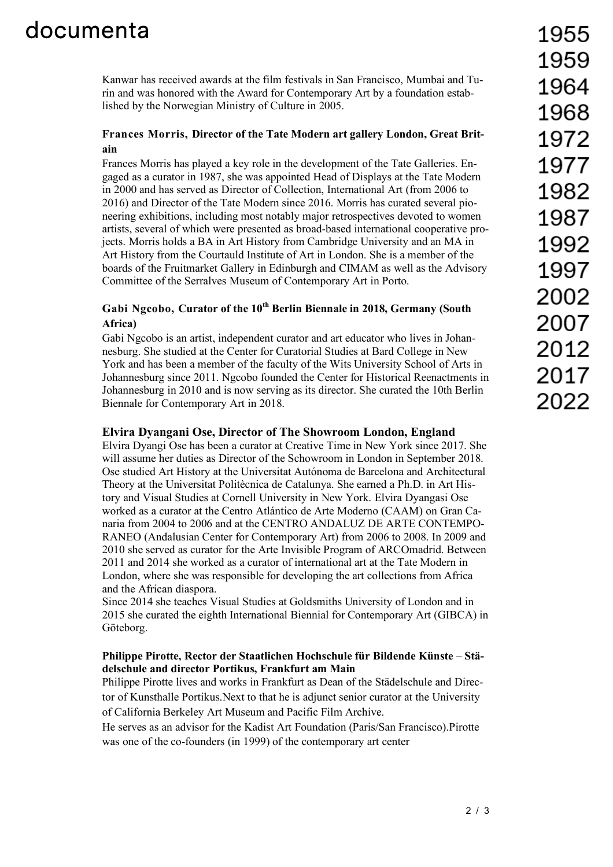# documenta

Kanwar has received awards at the film festivals in San Francisco, Mumbai and Turin and was honored with the Award for Contemporary Art by a foundation established by the Norwegian Ministry of Culture in 2005.

#### **Frances Morris, Director of the Tate Modern art gallery London, Great Britain**

Frances Morris has played a key role in the development of the Tate Galleries. Engaged as a curator in 1987, she was appointed Head of Displays at the Tate Modern in 2000 and has served as Director of Collection, International Art (from 2006 to 2016) and Director of the Tate Modern since 2016. Morris has curated several pioneering exhibitions, including most notably major retrospectives devoted to women artists, several of which were presented as broad-based international cooperative projects. Morris holds a BA in Art History from Cambridge University and an MA in Art History from the Courtauld Institute of Art in London. She is a member of the boards of the Fruitmarket Gallery in Edinburgh and CIMAM as well as the Advisory Committee of the Serralves Museum of Contemporary Art in Porto.

### Gabi Ngcobo, Curator of the 10<sup>th</sup> Berlin Biennale in 2018, Germany (South **Africa)**

Gabi Ngcobo is an artist, independent curator and art educator who lives in Johannesburg. She studied at the Center for Curatorial Studies at Bard College in New York and has been a member of the faculty of the Wits University School of Arts in Johannesburg since 2011. Ngcobo founded the Center for Historical Reenactments in Johannesburg in 2010 and is now serving as its director. She curated the 10th Berlin Biennale for Contemporary Art in 2018.

#### **Elvira Dyangani Ose, Director of The Showroom London, England**

Elvira Dyangi Ose has been a curator at Creative Time in New York since 2017. She will assume her duties as Director of the Schowroom in London in September 2018. Ose studied Art History at the Universitat Autónoma de Barcelona and Architectural Theory at the Universitat Politècnica de Catalunya. She earned a Ph.D. in Art History and Visual Studies at Cornell University in New York. Elvira Dyangasi Ose worked as a curator at the Centro Atlántico de Arte Moderno (CAAM) on Gran Canaria from 2004 to 2006 and at the CENTRO ANDALUZ DE ARTE CONTEMPO-RANEO (Andalusian Center for Contemporary Art) from 2006 to 2008. In 2009 and 2010 she served as curator for the Arte Invisible Program of ARCOmadrid. Between 2011 and 2014 she worked as a curator of international art at the Tate Modern in London, where she was responsible for developing the art collections from Africa and the African diaspora.

Since 2014 she teaches Visual Studies at Goldsmiths University of London and in 2015 she curated the eighth International Biennial for Contemporary Art (GIBCA) in Göteborg.

#### **Philippe Pirotte, Rector der Staatlichen Hochschule für Bildende Künste – Städelschule and director Portikus, Frankfurt am Main**

Philippe Pirotte lives and works in Frankfurt as Dean of the Städelschule and Director of Kunsthalle Portikus.Next to that he is adjunct senior curator at the University of California Berkeley Art Museum and Pacific Film Archive.

He serves as an advisor for the Kadist Art Foundation (Paris/San Francisco).Pirotte was one of the co-founders (in 1999) of the contemporary art center